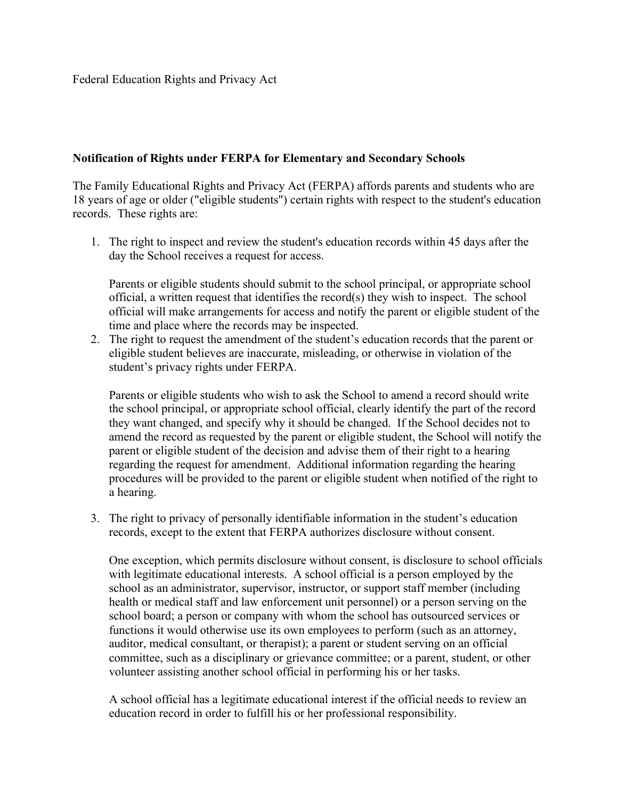## **Notification of Rights under FERPA for Elementary and Secondary Schools**

The Family Educational Rights and Privacy Act (FERPA) affords parents and students who are 18 years of age or older ("eligible students") certain rights with respect to the student's education records. These rights are:

1. The right to inspect and review the student's education records within 45 days after the day the School receives a request for access.

Parents or eligible students should submit to the school principal, or appropriate school official, a written request that identifies the record(s) they wish to inspect. The school official will make arrangements for access and notify the parent or eligible student of the time and place where the records may be inspected.

2. The right to request the amendment of the student's education records that the parent or eligible student believes are inaccurate, misleading, or otherwise in violation of the student's privacy rights under FERPA.

Parents or eligible students who wish to ask the School to amend a record should write the school principal, or appropriate school official, clearly identify the part of the record they want changed, and specify why it should be changed. If the School decides not to amend the record as requested by the parent or eligible student, the School will notify the parent or eligible student of the decision and advise them of their right to a hearing regarding the request for amendment. Additional information regarding the hearing procedures will be provided to the parent or eligible student when notified of the right to a hearing.

3. The right to privacy of personally identifiable information in the student's education records, except to the extent that FERPA authorizes disclosure without consent.

One exception, which permits disclosure without consent, is disclosure to school officials with legitimate educational interests. A school official is a person employed by the school as an administrator, supervisor, instructor, or support staff member (including health or medical staff and law enforcement unit personnel) or a person serving on the school board; a person or company with whom the school has outsourced services or functions it would otherwise use its own employees to perform (such as an attorney, auditor, medical consultant, or therapist); a parent or student serving on an official committee, such as a disciplinary or grievance committee; or a parent, student, or other volunteer assisting another school official in performing his or her tasks.

A school official has a legitimate educational interest if the official needs to review an education record in order to fulfill his or her professional responsibility.